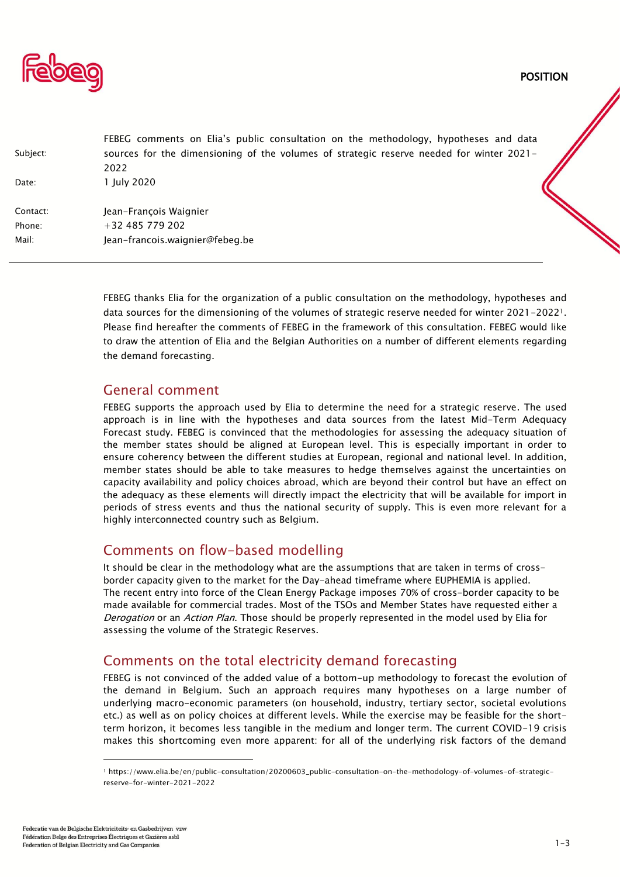

|          | FEBEG comments on Elia's public consultation on the methodology, hypotheses and data     |
|----------|------------------------------------------------------------------------------------------|
| Subject: | sources for the dimensioning of the volumes of strategic reserve needed for winter 2021- |
|          | 2022                                                                                     |
| Date:    | 1 July 2020                                                                              |
| Contact: | Jean-François Waignier                                                                   |
| Phone:   | $+32$ 485 779 202                                                                        |
| Mail:    | Jean-francois waignier@febeg.be                                                          |

FEBEG thanks Elia for the organization of a public consultation on the methodology, hypotheses and data sources for the dimensioning of the volumes of strategic reserve needed for winter 2021-20221. Please find hereafter the comments of FEBEG in the framework of this consultation. FEBEG would like to draw the attention of Elia and the Belgian Authorities on a number of different elements regarding the demand forecasting.

### General comment

FEBEG supports the approach used by Elia to determine the need for a strategic reserve. The used approach is in line with the hypotheses and data sources from the latest Mid-Term Adequacy Forecast study. FEBEG is convinced that the methodologies for assessing the adequacy situation of the member states should be aligned at European level. This is especially important in order to ensure coherency between the different studies at European, regional and national level. In addition, member states should be able to take measures to hedge themselves against the uncertainties on capacity availability and policy choices abroad, which are beyond their control but have an effect on the adequacy as these elements will directly impact the electricity that will be available for import in periods of stress events and thus the national security of supply. This is even more relevant for a highly interconnected country such as Belgium.

## Comments on flow-based modelling

It should be clear in the methodology what are the assumptions that are taken in terms of crossborder capacity given to the market for the Day-ahead timeframe where EUPHEMIA is applied. The recent entry into force of the Clean Energy Package imposes 70% of cross-border capacity to be made available for commercial trades. Most of the TSOs and Member States have requested either a Derogation or an Action Plan. Those should be properly represented in the model used by Elia for assessing the volume of the Strategic Reserves.

# Comments on the total electricity demand forecasting

FEBEG is not convinced of the added value of a bottom-up methodology to forecast the evolution of the demand in Belgium. Such an approach requires many hypotheses on a large number of underlying macro-economic parameters (on household, industry, tertiary sector, societal evolutions etc.) as well as on policy choices at different levels. While the exercise may be feasible for the shortterm horizon, it becomes less tangible in the medium and longer term. The current COVID-19 crisis makes this shortcoming even more apparent: for all of the underlying risk factors of the demand

<sup>1</sup> https://www.elia.be/en/public-consultation/20200603\_public-consultation-on-the-methodology-of-volumes-of-strategicreserve-for-winter-2021-2022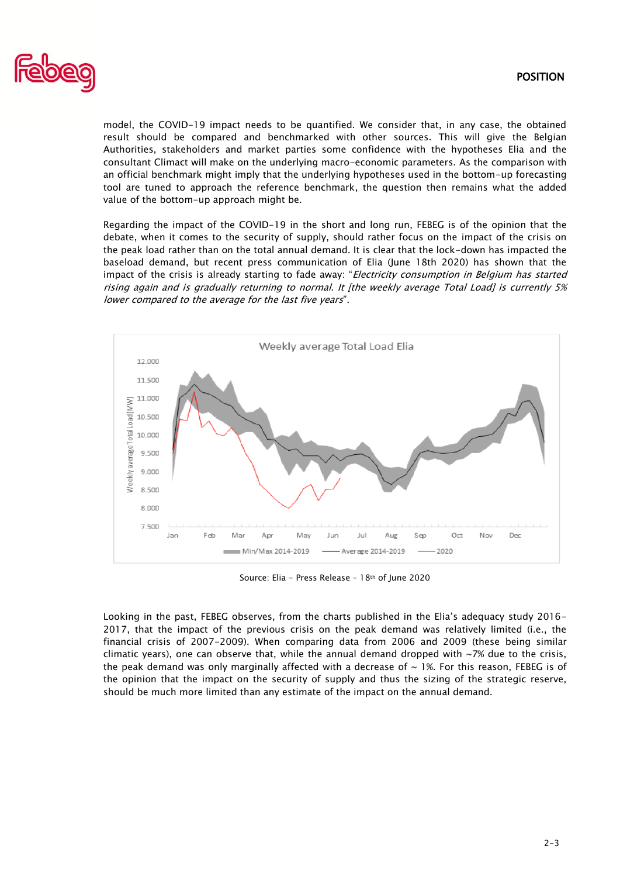

model, the COVID-19 impact needs to be quantified. We consider that, in any case, the obtained result should be compared and benchmarked with other sources. This will give the Belgian Authorities, stakeholders and market parties some confidence with the hypotheses Elia and the consultant Climact will make on the underlying macro-economic parameters. As the comparison with an official benchmark might imply that the underlying hypotheses used in the bottom-up forecasting tool are tuned to approach the reference benchmark, the question then remains what the added value of the bottom-up approach might be.

Regarding the impact of the COVID-19 in the short and long run, FEBEG is of the opinion that the debate, when it comes to the security of supply, should rather focus on the impact of the crisis on the peak load rather than on the total annual demand. It is clear that the lock-down has impacted the baseload demand, but recent press communication of Elia (June 18th 2020) has shown that the impact of the crisis is already starting to fade away: "Electricity consumption in Belgium has started rising again and is gradually returning to normal. It [the weekly average Total Load] is currently 5% lower compared to the average for the last five years".



Source: Elia - Press Release – 18th of June 2020

Looking in the past, FEBEG observes, from the charts published in the Elia's adequacy study 2016- 2017, that the impact of the previous crisis on the peak demand was relatively limited (i.e., the financial crisis of 2007-2009). When comparing data from 2006 and 2009 (these being similar climatic years), one can observe that, while the annual demand dropped with  $\sim$ 7% due to the crisis, the peak demand was only marginally affected with a decrease of  $\sim$  1%. For this reason, FEBEG is of the opinion that the impact on the security of supply and thus the sizing of the strategic reserve, should be much more limited than any estimate of the impact on the annual demand.